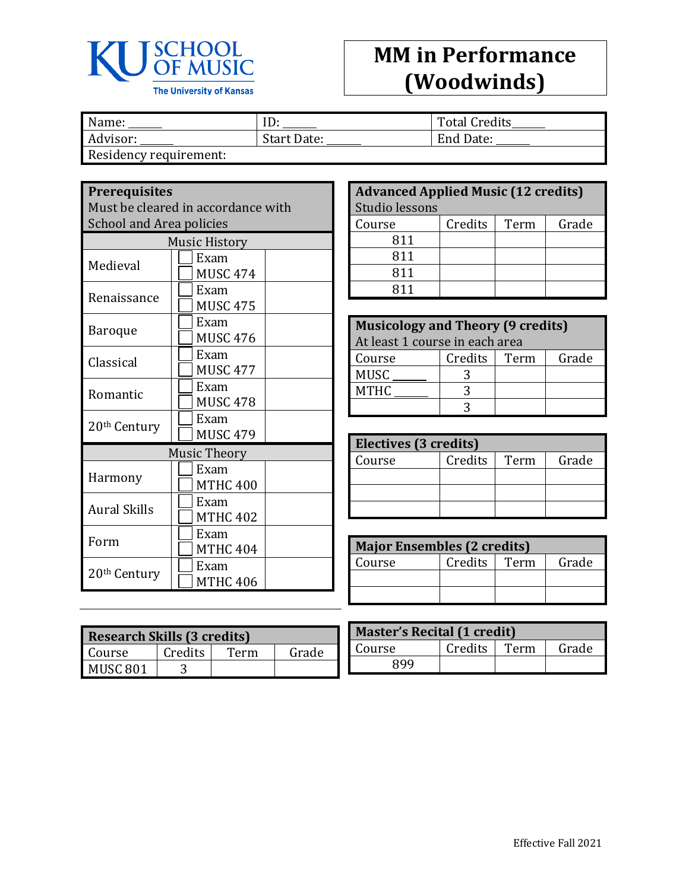

## **MM in Performance (Woodwinds)**

| Name:                  | ID          | <b>Total Credits</b> |
|------------------------|-------------|----------------------|
| Advisor:               | Start Date: | End Date:            |
| Residency requirement: |             |                      |

**Prerequisites**

| Must be cleared in accordance with<br><b>School and Area policies</b> |                         |  |  |
|-----------------------------------------------------------------------|-------------------------|--|--|
|                                                                       | <b>Music History</b>    |  |  |
| Medieval                                                              | Exam<br><b>MUSC 474</b> |  |  |
| Renaissance                                                           | Exam<br><b>MUSC 475</b> |  |  |
| Baroque                                                               | Exam<br><b>MUSC 476</b> |  |  |
| Classical                                                             | Exam<br><b>MUSC 477</b> |  |  |
| Romantic                                                              | Exam<br><b>MUSC 478</b> |  |  |
| 20 <sup>th</sup> Century                                              | Exam<br><b>MUSC 479</b> |  |  |
| <b>Music Theory</b>                                                   |                         |  |  |
| Harmony                                                               | Exam<br><b>MTHC 400</b> |  |  |
| <b>Aural Skills</b>                                                   | Exam<br><b>MTHC 402</b> |  |  |
| Form                                                                  | Exam<br><b>MTHC 404</b> |  |  |
| 20 <sup>th</sup> Century                                              | Exam<br><b>MTHC 406</b> |  |  |

| <b>Advanced Applied Music (12 credits)</b> |         |      |       |
|--------------------------------------------|---------|------|-------|
| Studio lessons                             |         |      |       |
| Course                                     | Credits | Term | Grade |
| 811                                        |         |      |       |
| 811                                        |         |      |       |
| 811                                        |         |      |       |
| R11                                        |         |      |       |

| <b>Musicology and Theory (9 credits)</b> |         |      |       |
|------------------------------------------|---------|------|-------|
| At least 1 course in each area           |         |      |       |
| Course                                   | Credits | Term | Grade |
| <b>MUSC</b>                              |         |      |       |
| <b>MTHC</b>                              |         |      |       |
|                                          |         |      |       |

| <b>Electives (3 credits)</b> |         |      |       |
|------------------------------|---------|------|-------|
| Course                       | Credits | Term | Grade |
|                              |         |      |       |
|                              |         |      |       |
|                              |         |      |       |

| <b>Major Ensembles (2 credits)</b> |         |      |       |
|------------------------------------|---------|------|-------|
| Course                             | Credits | Term | Grade |
|                                    |         |      |       |
|                                    |         |      |       |

| <b>Research Skills (3 credits)</b> |         |      |       |
|------------------------------------|---------|------|-------|
| Course                             | Credits | Term | Grade |
| MUSC <sub>801</sub>                |         |      |       |

| Master's Recital (1 credit) |         |      |       |
|-----------------------------|---------|------|-------|
| Course                      | Credits | Term | Grade |
| RQQ                         |         |      |       |